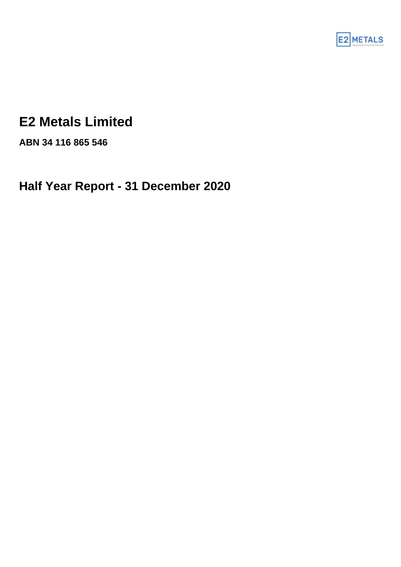

# **E2 Metals Limited**

**ABN 34 116 865 546**

**Half Year Report - 31 December 2020**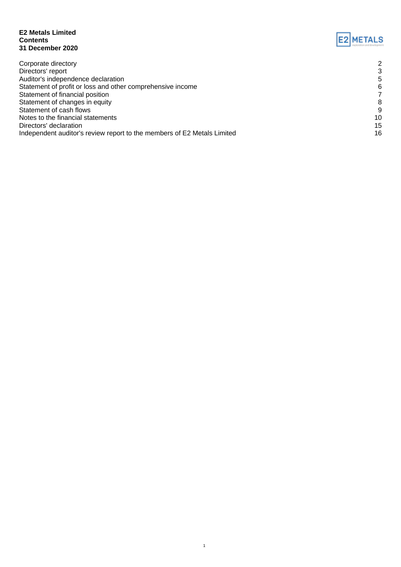#### **E2 Metals Limited Contents 31 December 2020**



1

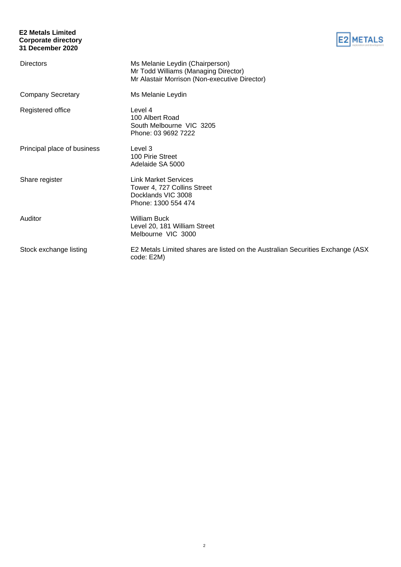#### **E2 Metals Limited Corporate directory 31 December 2020**



| <b>Directors</b>            | Ms Melanie Leydin (Chairperson)<br>Mr Todd Williams (Managing Director)<br>Mr Alastair Morrison (Non-executive Director) |
|-----------------------------|--------------------------------------------------------------------------------------------------------------------------|
| <b>Company Secretary</b>    | Ms Melanie Leydin                                                                                                        |
| Registered office           | Level 4<br>100 Albert Road<br>South Melbourne VIC 3205<br>Phone: 03 9692 7222                                            |
| Principal place of business | Level 3<br>100 Pirie Street<br>Adelaide SA 5000                                                                          |
| Share register              | <b>Link Market Services</b><br>Tower 4, 727 Collins Street<br>Docklands VIC 3008<br>Phone: 1300 554 474                  |
| Auditor                     | <b>William Buck</b><br>Level 20, 181 William Street<br>Melbourne VIC 3000                                                |
| Stock exchange listing      | E2 Metals Limited shares are listed on the Australian Securities Exchange (ASX)<br>code: E2M)                            |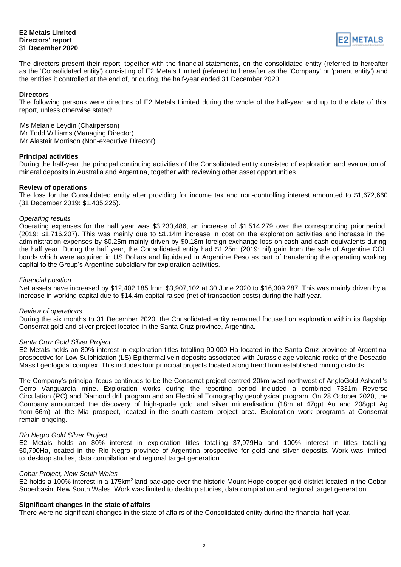#### **E2 Metals Limited Directors' report 31 December 2020**



The directors present their report, together with the financial statements, on the consolidated entity (referred to hereafter as the 'Consolidated entity') consisting of E2 Metals Limited (referred to hereafter as the 'Company' or 'parent entity') and the entities it controlled at the end of, or during, the half-year ended 31 December 2020.

#### **Directors**

The following persons were directors of E2 Metals Limited during the whole of the half-year and up to the date of this report, unless otherwise stated:

Ms Melanie Leydin (Chairperson) Mr Todd Williams (Managing Director) Mr Alastair Morrison (Non-executive Director)

#### **Principal activities**

During the half-year the principal continuing activities of the Consolidated entity consisted of exploration and evaluation of mineral deposits in Australia and Argentina, together with reviewing other asset opportunities.

#### **Review of operations**

The loss for the Consolidated entity after providing for income tax and non-controlling interest amounted to \$1,672,660 (31 December 2019: \$1,435,225).

#### *Operating results*

Operating expenses for the half year was \$3,230,486, an increase of \$1,514,279 over the corresponding prior period (2019: \$1,716,207). This was mainly due to \$1.14m increase in cost on the exploration activities and increase in the administration expenses by \$0.25m mainly driven by \$0.18m foreign exchange loss on cash and cash equivalents during the half year. During the half year, the Consolidated entity had \$1.25m (2019: nil) gain from the sale of Argentine CCL bonds which were acquired in US Dollars and liquidated in Argentine Peso as part of transferring the operating working capital to the Group's Argentine subsidiary for exploration activities.

#### *Financial position*

Net assets have increased by \$12,402,185 from \$3,907,102 at 30 June 2020 to \$16,309,287. This was mainly driven by a increase in working capital due to \$14.4m capital raised (net of transaction costs) during the half year.

#### *Review of operations*

During the six months to 31 December 2020, the Consolidated entity remained focused on exploration within its flagship Conserrat gold and silver project located in the Santa Cruz province, Argentina.

#### *Santa Cruz Gold Silver Project*

E2 Metals holds an 80% interest in exploration titles totalling 90,000 Ha located in the Santa Cruz province of Argentina prospective for Low Sulphidation (LS) Epithermal vein deposits associated with Jurassic age volcanic rocks of the Deseado Massif geological complex. This includes four principal projects located along trend from established mining districts.

The Company's principal focus continues to be the Conserrat project centred 20km west-northwest of AngloGold Ashanti's Cerro Vanguardia mine. Exploration works during the reporting period included a combined 7331m Reverse Circulation (RC) and Diamond drill program and an Electrical Tomography geophysical program. On 28 October 2020, the Company announced the discovery of high-grade gold and silver mineralisation (18m at 47gpt Au and 208gpt Ag from 66m) at the Mia prospect, located in the south-eastern project area. Exploration work programs at Conserrat remain ongoing.

#### *Rio Negro Gold Silver Project*

E2 Metals holds an 80% interest in exploration titles totalling 37,979Ha and 100% interest in titles totalling 50,790Ha, located in the Rio Negro province of Argentina prospective for gold and silver deposits. Work was limited to desktop studies, data compilation and regional target generation.

#### *Cobar Project, New South Wales*

E2 holds a 100% interest in a 175km<sup>2</sup> land package over the historic Mount Hope copper gold district located in the Cobar Superbasin, New South Wales. Work was limited to desktop studies, data compilation and regional target generation.

#### **Significant changes in the state of affairs**

There were no significant changes in the state of affairs of the Consolidated entity during the financial half-year.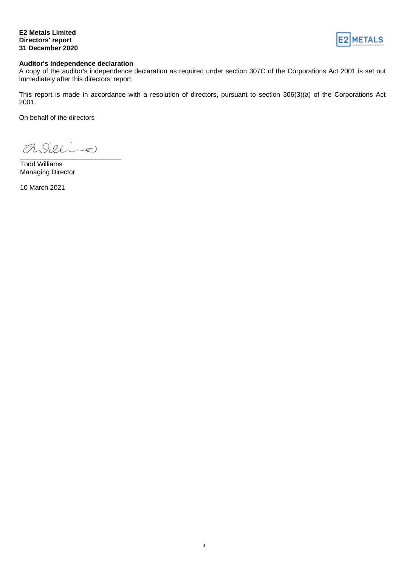#### **E2 Metals Limited Directors' report 31 December 2020**



#### **Auditor's independence declaration**

A copy of the auditor's independence declaration as required under section 307C of the Corporations Act 2001 is set out immediately after this directors' report.

This report is made in accordance with a resolution of directors, pursuant to section 306(3)(a) of the Corporations Act 2001.

On behalf of the directors

Addine \_\_\_\_\_\_\_\_\_\_\_\_\_\_\_\_\_\_\_\_\_\_\_\_\_\_\_

Todd Williams Managing Director

10 March 2021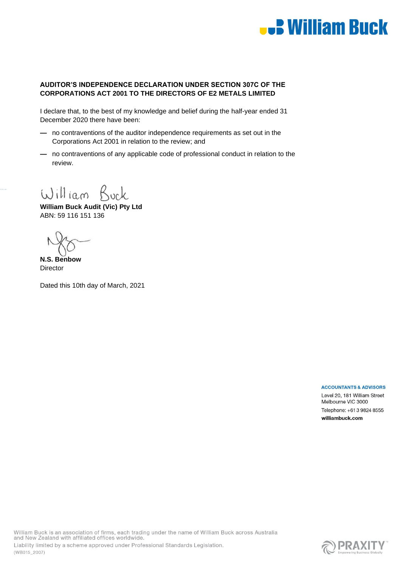

#### **AUDITOR'S INDEPENDENCE DECLARATION UNDER SECTION 307C OF THE CORPORATIONS ACT 2001 TO THE DIRECTORS OF E2 METALS LIMITED**

I declare that, to the best of my knowledge and belief during the half-year ended 31 December 2020 there have been:

- **—** no contraventions of the auditor independence requirements as set out in the Corporations Act 2001 in relation to the review; and
- **—** no contraventions of any applicable code of professional conduct in relation to the review.

William Buck

**William Buck Audit (Vic) Pty Ltd** ABN: 59 116 151 136

**N.S. Benbow Director** 

Dated this 10th day of March, 2021

**ACCOUNTANTS & ADVISORS** 

Level 20, 181 William Street Melbourne VIC 3000 Telephone: +61 3 9824 8555 williambuck.com

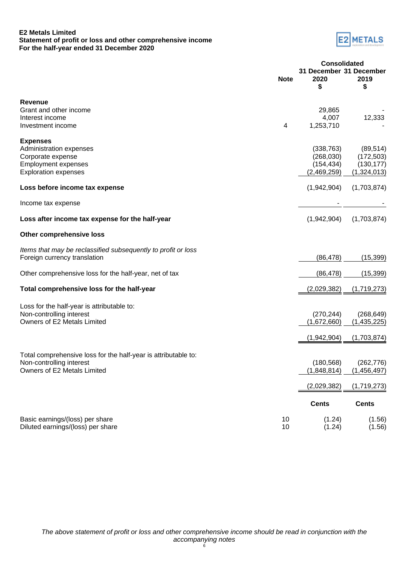#### **E2 Metals Limited Statement of profit or loss and other comprehensive income For the half-year ended 31 December 2020**



|                                                                                               | <b>Consolidated</b> |                                       |               |
|-----------------------------------------------------------------------------------------------|---------------------|---------------------------------------|---------------|
|                                                                                               | <b>Note</b>         | 31 December 31 December<br>2020<br>\$ | 2019<br>\$    |
| <b>Revenue</b>                                                                                |                     |                                       |               |
| Grant and other income                                                                        |                     | 29,865                                |               |
| Interest income                                                                               |                     | 4,007                                 | 12,333        |
| Investment income                                                                             | 4                   | 1,253,710                             |               |
| <b>Expenses</b>                                                                               |                     |                                       |               |
| Administration expenses                                                                       |                     | (338, 763)                            | (89, 514)     |
| Corporate expense                                                                             |                     | (268, 030)                            | (172, 503)    |
| <b>Employment expenses</b>                                                                    |                     | (154, 434)                            | (130, 177)    |
| <b>Exploration expenses</b>                                                                   |                     | (2,469,259)                           | (1,324,013)   |
| Loss before income tax expense                                                                |                     | (1,942,904)                           | (1,703,874)   |
| Income tax expense                                                                            |                     |                                       |               |
| Loss after income tax expense for the half-year                                               |                     | (1,942,904)                           | (1,703,874)   |
| <b>Other comprehensive loss</b>                                                               |                     |                                       |               |
| Items that may be reclassified subsequently to profit or loss<br>Foreign currency translation |                     | (86, 478)                             | (15, 399)     |
|                                                                                               |                     |                                       |               |
| Other comprehensive loss for the half-year, net of tax                                        |                     | (86, 478)                             | (15, 399)     |
| Total comprehensive loss for the half-year                                                    |                     | (2,029,382)                           | (1,719,273)   |
| Loss for the half-year is attributable to:                                                    |                     |                                       |               |
| Non-controlling interest                                                                      |                     | (270, 244)                            | (268, 649)    |
| Owners of E2 Metals Limited                                                                   |                     | (1,672,660)                           | (1,435,225)   |
|                                                                                               |                     | (1,942,904)                           | (1,703,874)   |
|                                                                                               |                     |                                       |               |
| Total comprehensive loss for the half-year is attributable to:                                |                     |                                       |               |
| Non-controlling interest                                                                      |                     | (180, 568)                            | (262, 776)    |
| Owners of E2 Metals Limited                                                                   |                     | (1,848,814)                           | (1, 456, 497) |
|                                                                                               |                     | (2,029,382)                           | (1,719,273)   |
|                                                                                               |                     | <b>Cents</b>                          | <b>Cents</b>  |
| Basic earnings/(loss) per share                                                               | 10                  | (1.24)                                | (1.56)        |
| Diluted earnings/(loss) per share                                                             | 10                  | (1.24)                                | (1.56)        |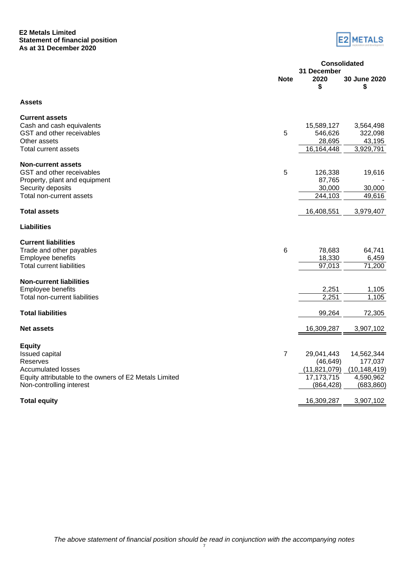#### **E2 Metals Limited Statement of financial position As at 31 December 2020**



|                                                                                                                                                                       | <b>Consolidated</b> |                                                                         |                                                                    |
|-----------------------------------------------------------------------------------------------------------------------------------------------------------------------|---------------------|-------------------------------------------------------------------------|--------------------------------------------------------------------|
|                                                                                                                                                                       | <b>Note</b>         | 31 December<br>2020<br>\$                                               | 30 June 2020<br>\$                                                 |
| <b>Assets</b>                                                                                                                                                         |                     |                                                                         |                                                                    |
| <b>Current assets</b><br>Cash and cash equivalents<br>GST and other receivables<br>Other assets<br>Total current assets                                               | 5                   | 15,589,127<br>546,626<br>28,695<br>16,164,448                           | 3,564,498<br>322,098<br>43,195<br>3,929,791                        |
| <b>Non-current assets</b><br>GST and other receivables<br>Property, plant and equipment<br>Security deposits<br>Total non-current assets                              | 5                   | 126,338<br>87,765<br>30,000<br>244,103                                  | 19,616<br>30,000<br>49,616                                         |
| <b>Total assets</b>                                                                                                                                                   |                     | 16,408,551                                                              | 3,979,407                                                          |
| <b>Liabilities</b>                                                                                                                                                    |                     |                                                                         |                                                                    |
| <b>Current liabilities</b><br>Trade and other payables<br>Employee benefits<br><b>Total current liabilities</b>                                                       | $6\phantom{1}6$     | 78,683<br>18,330<br>97,013                                              | 64,741<br>6,459<br>71,200                                          |
| <b>Non-current liabilities</b><br>Employee benefits<br>Total non-current liabilities                                                                                  |                     | 2,251<br>2,251                                                          | 1,105<br>1,105                                                     |
| <b>Total liabilities</b>                                                                                                                                              |                     | 99,264                                                                  | 72,305                                                             |
| <b>Net assets</b>                                                                                                                                                     |                     | 16,309,287                                                              | 3,907,102                                                          |
| <b>Equity</b><br><b>Issued capital</b><br>Reserves<br><b>Accumulated losses</b><br>Equity attributable to the owners of E2 Metals Limited<br>Non-controlling interest | $\overline{7}$      | 29,041,443<br>(46, 649)<br>(11, 821, 079)<br>17, 173, 715<br>(864, 428) | 14,562,344<br>177,037<br>(10, 148, 419)<br>4,590,962<br>(683, 860) |
| <b>Total equity</b>                                                                                                                                                   |                     | 16,309,287                                                              | 3,907,102                                                          |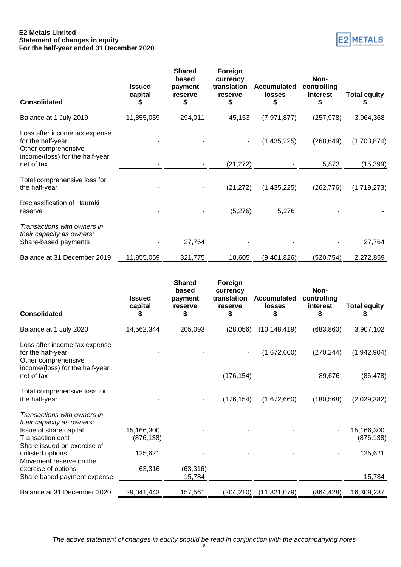#### **E2 Metals Limited Statement of changes in equity For the half-year ended 31 December 2020**

| E2 METALS |
|-----------|
|           |

| <b>Consolidated</b>                                                              | <b>Issued</b><br>capital | <b>Shared</b><br>based<br>payment<br>reserve<br>\$ | Foreign<br>currency<br>translation<br>reserve<br>\$ | <b>Accumulated</b><br><b>losses</b><br>\$ | Non-<br>controlling<br>interest<br>S | <b>Total equity</b> |
|----------------------------------------------------------------------------------|--------------------------|----------------------------------------------------|-----------------------------------------------------|-------------------------------------------|--------------------------------------|---------------------|
| Balance at 1 July 2019                                                           | 11,855,059               | 294,011                                            | 45,153                                              | (7, 971, 877)                             | (257, 978)                           | 3,964,368           |
| Loss after income tax expense<br>for the half-year<br>Other comprehensive        |                          |                                                    | ۰                                                   | (1,435,225)                               | (268, 649)                           | (1,703,874)         |
| income/(loss) for the half-year,<br>net of tax                                   |                          |                                                    | (21, 272)                                           |                                           | 5,873                                | (15, 399)           |
| Total comprehensive loss for<br>the half-year                                    |                          |                                                    | (21, 272)                                           | (1,435,225)                               | (262, 776)                           | (1,719,273)         |
| Reclassification of Hauraki<br>reserve                                           |                          |                                                    | (5,276)                                             | 5,276                                     |                                      |                     |
| Transactions with owners in<br>their capacity as owners:<br>Share-based payments |                          | 27,764                                             |                                                     |                                           |                                      | 27,764              |
| Balance at 31 December 2019                                                      | 11,855,059               | 321,775                                            | 18,605                                              | (9,401,826)                               | (520, 754)                           | 2,272,859           |

| <b>Consolidated</b>                                                                                           | <b>Issued</b><br>capital<br>5 | <b>Shared</b><br>based<br>payment<br>reserve<br>\$ | Foreign<br>currency<br>translation<br>reserve<br>\$ | <b>Accumulated</b><br>losses<br>\$ | Non-<br>controlling<br>interest<br>S | <b>Total equity</b><br>P |
|---------------------------------------------------------------------------------------------------------------|-------------------------------|----------------------------------------------------|-----------------------------------------------------|------------------------------------|--------------------------------------|--------------------------|
| Balance at 1 July 2020                                                                                        | 14,562,344                    | 205,093                                            | (28,056)                                            | (10, 148, 419)                     | (683, 860)                           | 3,907,102                |
| Loss after income tax expense<br>for the half-year<br>Other comprehensive<br>income/(loss) for the half-year, |                               |                                                    |                                                     | (1,672,660)                        | (270, 244)                           | (1,942,904)              |
| net of tax                                                                                                    |                               |                                                    | (176, 154)                                          |                                    | 89,676                               | (86, 478)                |
| Total comprehensive loss for<br>the half-year                                                                 |                               |                                                    | (176, 154)                                          | (1,672,660)                        | (180, 568)                           | (2,029,382)              |
| Transactions with owners in<br>their capacity as owners:                                                      |                               |                                                    |                                                     |                                    |                                      |                          |
| Issue of share capital<br>Transaction cost<br>Share issued on exercise of                                     | 15,166,300<br>(876, 138)      |                                                    |                                                     |                                    |                                      | 15,166,300<br>(876, 138) |
| unlisted options<br>Movement reserve on the                                                                   | 125,621                       |                                                    |                                                     |                                    |                                      | 125,621                  |
| exercise of options                                                                                           | 63,316                        | (63, 316)                                          |                                                     |                                    |                                      |                          |
| Share based payment expense                                                                                   |                               | 15,784                                             |                                                     |                                    |                                      | 15,784                   |
| Balance at 31 December 2020                                                                                   | 29,041,443                    | 157,561                                            | (204, 210)                                          | (11, 821, 079)                     | (864, 428)                           | 16,309,287               |

*The above statement of changes in equity should be read in conjunction with the accompanying notes*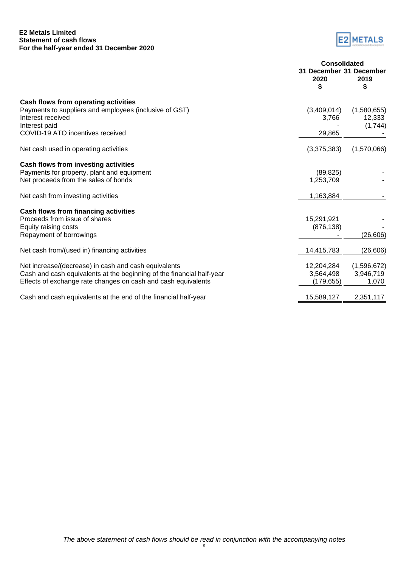#### **E2 Metals Limited Statement of cash flows For the half-year ended 31 December 2020**



|                                                                                                                     | <b>Consolidated</b>                  |                       |  |
|---------------------------------------------------------------------------------------------------------------------|--------------------------------------|-----------------------|--|
|                                                                                                                     | 31 December 31 December<br>2020<br>S | 2019<br>S             |  |
|                                                                                                                     |                                      |                       |  |
| Cash flows from operating activities<br>Payments to suppliers and employees (inclusive of GST)<br>Interest received | (3,409,014)<br>3,766                 | (1,580,655)<br>12,333 |  |
| Interest paid                                                                                                       |                                      | (1,744)               |  |
| COVID-19 ATO incentives received                                                                                    | 29,865                               |                       |  |
| Net cash used in operating activities                                                                               | (3,375,383)                          | (1,570,066)           |  |
| Cash flows from investing activities                                                                                |                                      |                       |  |
| Payments for property, plant and equipment                                                                          | (89, 825)                            |                       |  |
| Net proceeds from the sales of bonds                                                                                | 1,253,709                            |                       |  |
| Net cash from investing activities                                                                                  | 1,163,884                            |                       |  |
| Cash flows from financing activities                                                                                |                                      |                       |  |
| Proceeds from issue of shares                                                                                       | 15,291,921                           |                       |  |
| Equity raising costs                                                                                                | (876, 138)                           |                       |  |
| Repayment of borrowings                                                                                             |                                      | (26, 606)             |  |
| Net cash from/(used in) financing activities                                                                        | 14,415,783                           | (26, 606)             |  |
| Net increase/(decrease) in cash and cash equivalents                                                                | 12,204,284                           | (1,596,672)           |  |
| Cash and cash equivalents at the beginning of the financial half-year                                               | 3,564,498                            | 3,946,719             |  |
| Effects of exchange rate changes on cash and cash equivalents                                                       | (179, 655)                           | 1,070                 |  |
| Cash and cash equivalents at the end of the financial half-year                                                     | 15,589,127                           | 2,351,117             |  |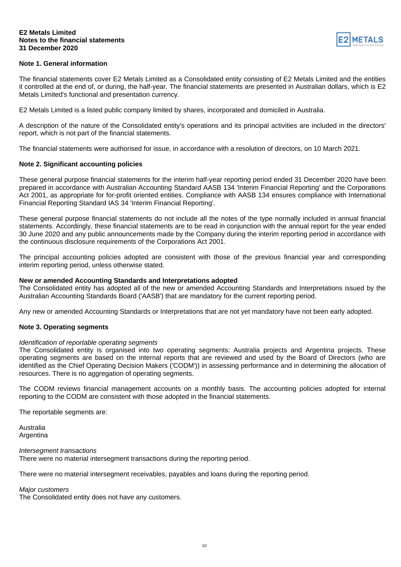#### **E2 Metals Limited Notes to the financial statements 31 December 2020**



#### **Note 1. General information**

The financial statements cover E2 Metals Limited as a Consolidated entity consisting of E2 Metals Limited and the entities it controlled at the end of, or during, the half-year. The financial statements are presented in Australian dollars, which is E2 Metals Limited's functional and presentation currency.

E2 Metals Limited is a listed public company limited by shares, incorporated and domiciled in Australia.

A description of the nature of the Consolidated entity's operations and its principal activities are included in the directors' report, which is not part of the financial statements.

The financial statements were authorised for issue, in accordance with a resolution of directors, on 10 March 2021.

#### **Note 2. Significant accounting policies**

These general purpose financial statements for the interim half-year reporting period ended 31 December 2020 have been prepared in accordance with Australian Accounting Standard AASB 134 'Interim Financial Reporting' and the Corporations Act 2001, as appropriate for for-profit oriented entities. Compliance with AASB 134 ensures compliance with International Financial Reporting Standard IAS 34 'Interim Financial Reporting'.

These general purpose financial statements do not include all the notes of the type normally included in annual financial statements. Accordingly, these financial statements are to be read in conjunction with the annual report for the year ended 30 June 2020 and any public announcements made by the Company during the interim reporting period in accordance with the continuous disclosure requirements of the Corporations Act 2001.

The principal accounting policies adopted are consistent with those of the previous financial year and corresponding interim reporting period, unless otherwise stated.

#### **New or amended Accounting Standards and Interpretations adopted**

The Consolidated entity has adopted all of the new or amended Accounting Standards and Interpretations issued by the Australian Accounting Standards Board ('AASB') that are mandatory for the current reporting period.

Any new or amended Accounting Standards or Interpretations that are not yet mandatory have not been early adopted.

#### **Note 3. Operating segments**

#### *Identification of reportable operating segments*

The Consolidated entity is organised into two operating segments: Australia projects and Argentina projects. These operating segments are based on the internal reports that are reviewed and used by the Board of Directors (who are identified as the Chief Operating Decision Makers ('CODM')) in assessing performance and in determining the allocation of resources. There is no aggregation of operating segments.

The CODM reviews financial management accounts on a monthly basis. The accounting policies adopted for internal reporting to the CODM are consistent with those adopted in the financial statements.

The reportable segments are:

Australia Argentina

*Intersegment transactions*

There were no material intersegment transactions during the reporting period.

There were no material intersegment receivables, payables and loans during the reporting period.

#### *Major customers*

The Consolidated entity does not have any customers.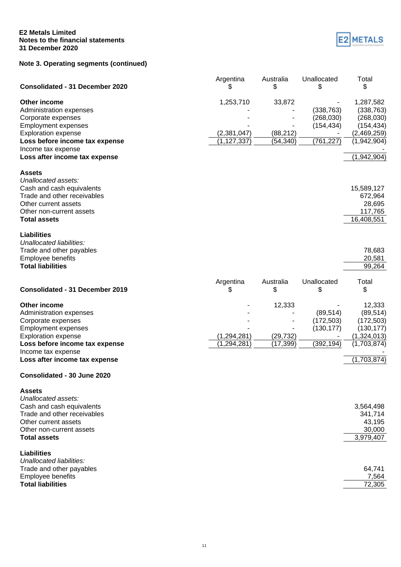#### **E2 Metals Limited Notes to the financial statements 31 December 2020**

### **Note 3. Operating segments (continued)**



| <b>Consolidated - 31 December 2020</b>                                                                                                                                                                             | Argentina<br>S                            | Australia<br>\$                  | Unallocated<br>\$                                    | Total<br>\$                                                                                      |
|--------------------------------------------------------------------------------------------------------------------------------------------------------------------------------------------------------------------|-------------------------------------------|----------------------------------|------------------------------------------------------|--------------------------------------------------------------------------------------------------|
| Other income<br>Administration expenses<br>Corporate expenses<br><b>Employment expenses</b><br><b>Exploration expense</b><br>Loss before income tax expense<br>Income tax expense<br>Loss after income tax expense | 1,253,710<br>(2,381,047)<br>(1, 127, 337) | 33,872<br>(88, 212)<br>(54, 340) | (338, 763)<br>(268, 030)<br>(154, 434)<br>(761, 227) | 1,287,582<br>(338, 763)<br>(268, 030)<br>(154, 434)<br>(2,469,259)<br>(1,942,904)<br>(1,942,904) |
| <b>Assets</b><br>Unallocated assets:<br>Cash and cash equivalents<br>Trade and other receivables<br>Other current assets<br>Other non-current assets<br><b>Total assets</b>                                        |                                           |                                  |                                                      | 15,589,127<br>672,964<br>28,695<br>117,765<br>16,408,551                                         |
| <b>Liabilities</b><br>Unallocated liabilities:<br>Trade and other payables<br>Employee benefits<br><b>Total liabilities</b>                                                                                        |                                           |                                  |                                                      | 78,683<br>20,581<br>99,264                                                                       |
| <b>Consolidated - 31 December 2019</b>                                                                                                                                                                             | Argentina<br>\$                           | Australia<br>\$                  | Unallocated<br>\$                                    | Total<br>\$                                                                                      |
| Other income<br>Administration expenses<br>Corporate expenses<br><b>Employment expenses</b><br><b>Exploration expense</b><br>Loss before income tax expense<br>Income tax expense<br>Loss after income tax expense | (1, 294, 281)<br>(1, 294, 281)            | 12,333<br>(29, 732)<br>(17, 399) | (89, 514)<br>(172, 503)<br>(130, 177)<br>(392, 194)  | 12,333<br>(89, 514)<br>(172, 503)<br>(130, 177)<br>(1,324,013)<br>(1,703,874)<br>(1,703,874)     |
| Consolidated - 30 June 2020                                                                                                                                                                                        |                                           |                                  |                                                      |                                                                                                  |
| <b>Assets</b><br>Unallocated assets:<br>Cash and cash equivalents<br>Trade and other receivables<br>Other current assets<br>Other non-current assets<br><b>Total assets</b>                                        |                                           |                                  |                                                      | 3,564,498<br>341,714<br>43,195<br>30,000<br>3,979,407                                            |
| Liabilities<br>Unallocated liabilities:<br>Trade and other payables<br><b>Employee benefits</b><br><b>Total liabilities</b>                                                                                        |                                           |                                  |                                                      | 64,741<br>7,564<br>72,305                                                                        |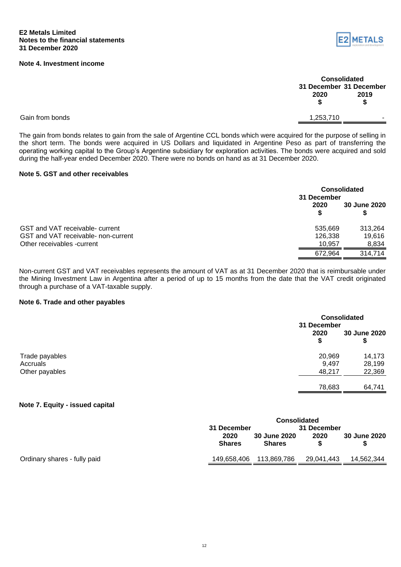#### **Note 4. Investment income**



| <b>Consolidated</b> |                         |  |  |
|---------------------|-------------------------|--|--|
|                     | 31 December 31 December |  |  |
| 2020                | 2019                    |  |  |
| \$                  | S                       |  |  |
| 1 253 710           |                         |  |  |

Gain from bonds

The gain from bonds relates to gain from the sale of Argentine CCL bonds which were acquired for the purpose of selling in the short term. The bonds were acquired in US Dollars and liquidated in Argentine Peso as part of transferring the operating working capital to the Group's Argentine subsidiary for exploration activities. The bonds were acquired and sold during the half-year ended December 2020. There were no bonds on hand as at 31 December 2020.

#### **Note 5. GST and other receivables**

|                                     | <b>Consolidated</b><br>31 December |              |  |
|-------------------------------------|------------------------------------|--------------|--|
|                                     | 2020                               | 30 June 2020 |  |
| GST and VAT receivable- current     | 535.669                            | 313.264      |  |
| GST and VAT receivable- non-current | 126,338                            | 19,616       |  |
| Other receivables -current          | 10.957                             | 8,834        |  |
|                                     | 672.964                            | 314.714      |  |

Non-current GST and VAT receivables represents the amount of VAT as at 31 December 2020 that is reimbursable under the Mining Investment Law in Argentina after a period of up to 15 months from the date that the VAT credit originated through a purchase of a VAT-taxable supply.

#### **Note 6. Trade and other payables**

|                            |                 | <b>Consolidated</b><br>31 December |  |
|----------------------------|-----------------|------------------------------------|--|
|                            | 2020<br>\$      | 30 June 2020<br>\$                 |  |
| Trade payables             | 20,969          | 14,173                             |  |
| Accruals<br>Other payables | 9,497<br>48,217 | 28,199<br>22,369                   |  |
|                            | 78,683          | 64,741                             |  |

#### **Note 7. Equity - issued capital**

|                              | <b>Consolidated</b>        |                                      |            |                     |
|------------------------------|----------------------------|--------------------------------------|------------|---------------------|
|                              | 31 December<br>31 December |                                      |            |                     |
|                              | 2020<br><b>Shares</b>      | <b>30 June 2020</b><br><b>Shares</b> | 2020       | <b>30 June 2020</b> |
| Ordinary shares - fully paid | 149,658,406                | 113,869,786                          | 29,041,443 | 14.562.344          |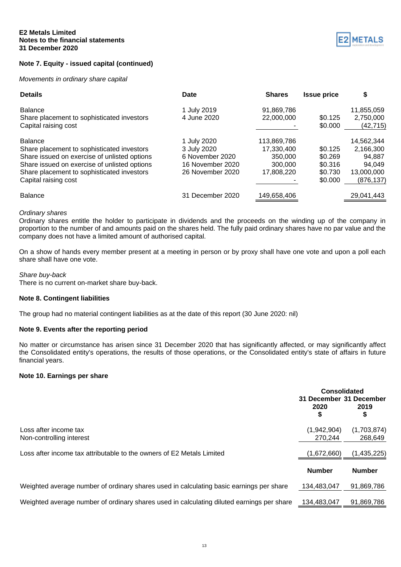#### **Note 7. Equity - issued capital (continued)**

#### *Movements in ordinary share capital*



| <b>Details</b>                               | Date             | <b>Shares</b> | <b>Issue price</b> | \$         |
|----------------------------------------------|------------------|---------------|--------------------|------------|
| <b>Balance</b>                               | 1 July 2019      | 91,869,786    |                    | 11,855,059 |
| Share placement to sophisticated investors   | 4 June 2020      | 22,000,000    | \$0.125            | 2,750,000  |
| Capital raising cost                         |                  |               | \$0.000            | (42,715)   |
| <b>Balance</b>                               | 1 July 2020      | 113,869,786   |                    | 14,562,344 |
| Share placement to sophisticated investors   | 3 July 2020      | 17.330.400    | \$0.125            | 2,166,300  |
| Share issued on exercise of unlisted options | 6 November 2020  | 350,000       | \$0.269            | 94.887     |
| Share issued on exercise of unlisted options | 16 November 2020 | 300,000       | \$0.316            | 94.049     |
| Share placement to sophisticated investors   | 26 November 2020 | 17,808,220    | \$0.730            | 13,000,000 |
| Capital raising cost                         |                  |               | \$0.000            | (876, 137) |
| <b>Balance</b>                               | 31 December 2020 | 149,658,406   |                    | 29,041,443 |

#### *Ordinary shares*

Ordinary shares entitle the holder to participate in dividends and the proceeds on the winding up of the company in proportion to the number of and amounts paid on the shares held. The fully paid ordinary shares have no par value and the company does not have a limited amount of authorised capital.

On a show of hands every member present at a meeting in person or by proxy shall have one vote and upon a poll each share shall have one vote.

#### *Share buy-back*

There is no current on-market share buy-back.

#### **Note 8. Contingent liabilities**

The group had no material contingent liabilities as at the date of this report (30 June 2020: nil)

#### **Note 9. Events after the reporting period**

No matter or circumstance has arisen since 31 December 2020 that has significantly affected, or may significantly affect the Consolidated entity's operations, the results of those operations, or the Consolidated entity's state of affairs in future financial years.

#### **Note 10. Earnings per share**

|                                                                                           | <b>Consolidated</b><br>31 December 31 December<br>2020<br>\$ | 2019<br>\$             |
|-------------------------------------------------------------------------------------------|--------------------------------------------------------------|------------------------|
| Loss after income tax<br>Non-controlling interest                                         | (1,942,904)<br>270.244                                       | (1,703,874)<br>268.649 |
| Loss after income tax attributable to the owners of E2 Metals Limited                     | (1,672,660)                                                  | (1, 435, 225)          |
|                                                                                           | <b>Number</b>                                                | <b>Number</b>          |
| Weighted average number of ordinary shares used in calculating basic earnings per share   | 134.483.047                                                  | 91,869,786             |
| Weighted average number of ordinary shares used in calculating diluted earnings per share | 134.483.047                                                  | 91,869,786             |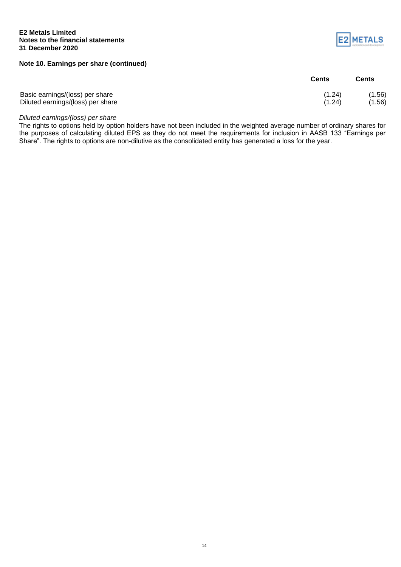#### **E2 Metals Limited Notes to the financial statements 31 December 2020**

**Note 10. Earnings per share (continued)**

|                                   | <b>Cents</b> | Cents  |
|-----------------------------------|--------------|--------|
| Basic earnings/(loss) per share   | (1.24)       | (1.56) |
| Diluted earnings/(loss) per share | (1.24)       | (1.56) |

*Diluted earnings/(loss) per share*

The rights to options held by option holders have not been included in the weighted average number of ordinary shares for the purposes of calculating diluted EPS as they do not meet the requirements for inclusion in AASB 133 "Earnings per Share". The rights to options are non-dilutive as the consolidated entity has generated a loss for the year.

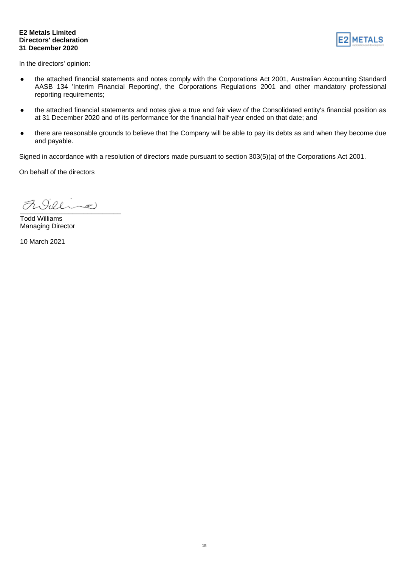#### **E2 Metals Limited Directors' declaration 31 December 2020**



In the directors' opinion:

- the attached financial statements and notes comply with the Corporations Act 2001, Australian Accounting Standard AASB 134 'Interim Financial Reporting', the Corporations Regulations 2001 and other mandatory professional reporting requirements;
- the attached financial statements and notes give a true and fair view of the Consolidated entity's financial position as at 31 December 2020 and of its performance for the financial half-year ended on that date; and
- there are reasonable grounds to believe that the Company will be able to pay its debts as and when they become due and payable.

Signed in accordance with a resolution of directors made pursuant to section 303(5)(a) of the Corporations Act 2001.

On behalf of the directors

 $\frac{1}{2}$ 

Todd Williams Managing Director

10 March 2021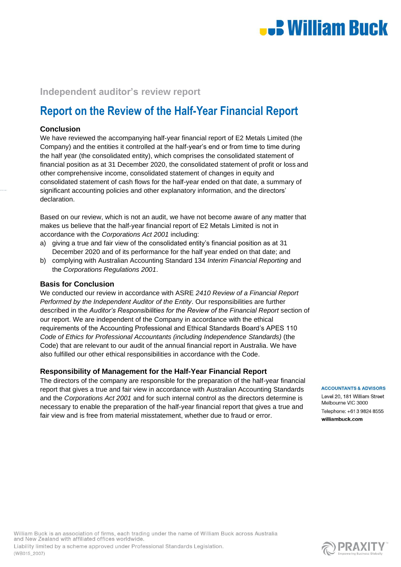# **L.** William Buck

## **Independent auditor's review report**

## **Report on the Review of the Half-Year Financial Report**

#### **Conclusion**

We have reviewed the accompanying half-year financial report of E2 Metals Limited (the Company) and the entities it controlled at the half-year's end or from time to time during the half year (the consolidated entity), which comprises the consolidated statement of financial position as at 31 December 2020, the consolidated statement of profit or loss and other comprehensive income, consolidated statement of changes in equity and consolidated statement of cash flows for the half-year ended on that date, a summary of significant accounting policies and other explanatory information, and the directors' declaration.

Based on our review, which is not an audit, we have not become aware of any matter that makes us believe that the half-year financial report of E2 Metals Limited is not in accordance with the *Corporations Act 2001* including:

- a) giving a true and fair view of the consolidated entity's financial position as at 31 December 2020 and of its performance for the half year ended on that date; and
- b) complying with Australian Accounting Standard 134 *Interim Financial Reporting* and the *Corporations Regulations 2001*.

#### **Basis for Conclusion**

We conducted our review in accordance with ASRE *2410 Review of a Financial Report Performed by the Independent Auditor of the Entity*. Our responsibilities are further described in the *Auditor's Responsibilities for the Review of the Financial Report* section of our report. We are independent of the Company in accordance with the ethical requirements of the Accounting Professional and Ethical Standards Board's APES 110 *Code of Ethics for Professional Accountants (including Independence Standards)* (the Code) that are relevant to our audit of the annual financial report in Australia. We have also fulfilled our other ethical responsibilities in accordance with the Code.

#### **Responsibility of Management for the Half-Year Financial Report**

The directors of the company are responsible for the preparation of the half-year financial report that gives a true and fair view in accordance with Australian Accounting Standards and the *Corporations Act 2001* and for such internal control as the directors determine is necessary to enable the preparation of the half-year financial report that gives a true and fair view and is free from material misstatement, whether due to fraud or error.

**ACCOUNTANTS & ADVISORS** 

Level 20, 181 William Street Melbourne VIC 3000 Telephone: +61.3.9824.8555 williambuck com